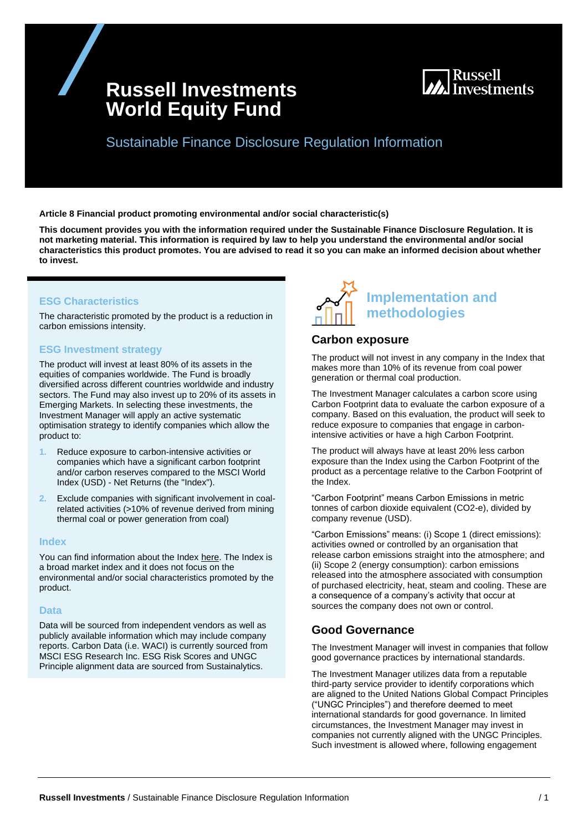# **Russell Investments World Equity Fund**



Sustainable Finance Disclosure Regulation Information

**Article 8 Financial product promoting environmental and/or social characteristic(s)**

**This document provides you with the information required under the Sustainable Finance Disclosure Regulation. It is not marketing material. This information is required by law to help you understand the environmental and/or social characteristics this product promotes. You are advised to read it so you can make an informed decision about whether to invest.**

### **ESG Characteristics**

The characteristic promoted by the product is a reduction in carbon emissions intensity.

### **ESG Investment strategy**

The product will invest at least 80% of its assets in the equities of companies worldwide. The Fund is broadly diversified across different countries worldwide and industry sectors. The Fund may also invest up to 20% of its assets in Emerging Markets. In selecting these investments, the Investment Manager will apply an active systematic optimisation strategy to identify companies which allow the product to:

- **1.** Reduce exposure to carbon-intensive activities or companies which have a significant carbon footprint and/or carbon reserves compared to the MSCI World Index (USD) - Net Returns (the "Index").
- **2.** Exclude companies with significant involvement in coalrelated activities (>10% of revenue derived from mining thermal coal or power generation from coal)

#### **Index**

You can find information about the Index [here.](https://www.msci.com/index-methodology) The Index is a broad market index and it does not focus on the environmental and/or social characteristics promoted by the product.

### **Data**

Data will be sourced from independent vendors as well as publicly available information which may include company reports. Carbon Data (i.e. WACI) is currently sourced from MSCI ESG Research Inc. ESG Risk Scores and UNGC Principle alignment data are sourced from Sustainalytics.



### **Carbon exposure**

The product will not invest in any company in the Index that makes more than 10% of its revenue from coal power generation or thermal coal production.

The Investment Manager calculates a carbon score using Carbon Footprint data to evaluate the carbon exposure of a company. Based on this evaluation, the product will seek to reduce exposure to companies that engage in carbonintensive activities or have a high Carbon Footprint.

The product will always have at least 20% less carbon exposure than the Index using the Carbon Footprint of the product as a percentage relative to the Carbon Footprint of the Index.

"Carbon Footprint" means Carbon Emissions in metric tonnes of carbon dioxide equivalent (CO2-e), divided by company revenue (USD).

"Carbon Emissions" means: (i) Scope 1 (direct emissions): activities owned or controlled by an organisation that release carbon emissions straight into the atmosphere; and (ii) Scope 2 (energy consumption): carbon emissions released into the atmosphere associated with consumption of purchased electricity, heat, steam and cooling. These are a consequence of a company's activity that occur at sources the company does not own or control.

# **Good Governance**

The Investment Manager will invest in companies that follow good governance practices by international standards.

The Investment Manager utilizes data from a reputable third-party service provider to identify corporations which are aligned to the United Nations Global Compact Principles ("UNGC Principles") and therefore deemed to meet international standards for good governance. In limited circumstances, the Investment Manager may invest in companies not currently aligned with the UNGC Principles. Such investment is allowed where, following engagement